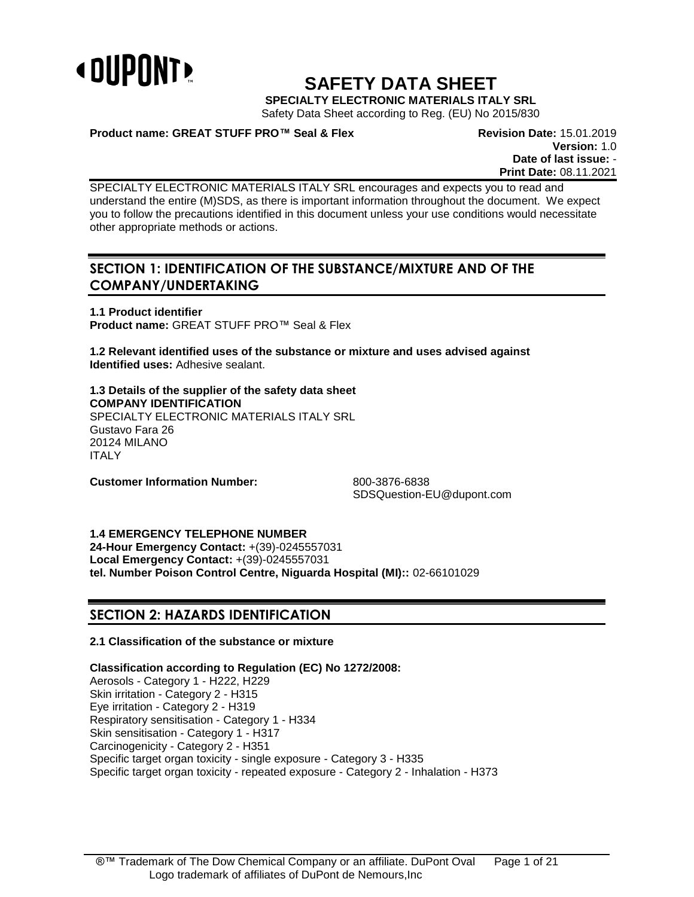

# **SAFETY DATA SHEET**

**SPECIALTY ELECTRONIC MATERIALS ITALY SRL**

Safety Data Sheet according to Reg. (EU) No 2015/830

# **Product name: GREAT STUFF PRO™ Seal & Flex Revision Date:** 15.01.2019

**Version:** 1.0 **Date of last issue:** - **Print Date:** 08.11.2021

SPECIALTY ELECTRONIC MATERIALS ITALY SRL encourages and expects you to read and understand the entire (M)SDS, as there is important information throughout the document. We expect you to follow the precautions identified in this document unless your use conditions would necessitate other appropriate methods or actions.

# **SECTION 1: IDENTIFICATION OF THE SUBSTANCE/MIXTURE AND OF THE COMPANY/UNDERTAKING**

**1.1 Product identifier Product name:** GREAT STUFF PRO™ Seal & Flex

**1.2 Relevant identified uses of the substance or mixture and uses advised against Identified uses:** Adhesive sealant.

**1.3 Details of the supplier of the safety data sheet COMPANY IDENTIFICATION** SPECIALTY ELECTRONIC MATERIALS ITALY SRL Gustavo Fara 26 20124 MILANO ITALY

**Customer Information Number:** 800-3876-6838

SDSQuestion-EU@dupont.com

**1.4 EMERGENCY TELEPHONE NUMBER**

**24-Hour Emergency Contact:** +(39)-0245557031 **Local Emergency Contact:** +(39)-0245557031 **tel. Number Poison Control Centre, Niguarda Hospital (MI)::** 02-66101029

# **SECTION 2: HAZARDS IDENTIFICATION**

# **2.1 Classification of the substance or mixture**

**Classification according to Regulation (EC) No 1272/2008:** Aerosols - Category 1 - H222, H229

Skin irritation - Category 2 - H315 Eye irritation - Category 2 - H319 Respiratory sensitisation - Category 1 - H334 Skin sensitisation - Category 1 - H317 Carcinogenicity - Category 2 - H351 Specific target organ toxicity - single exposure - Category 3 - H335 Specific target organ toxicity - repeated exposure - Category 2 - Inhalation - H373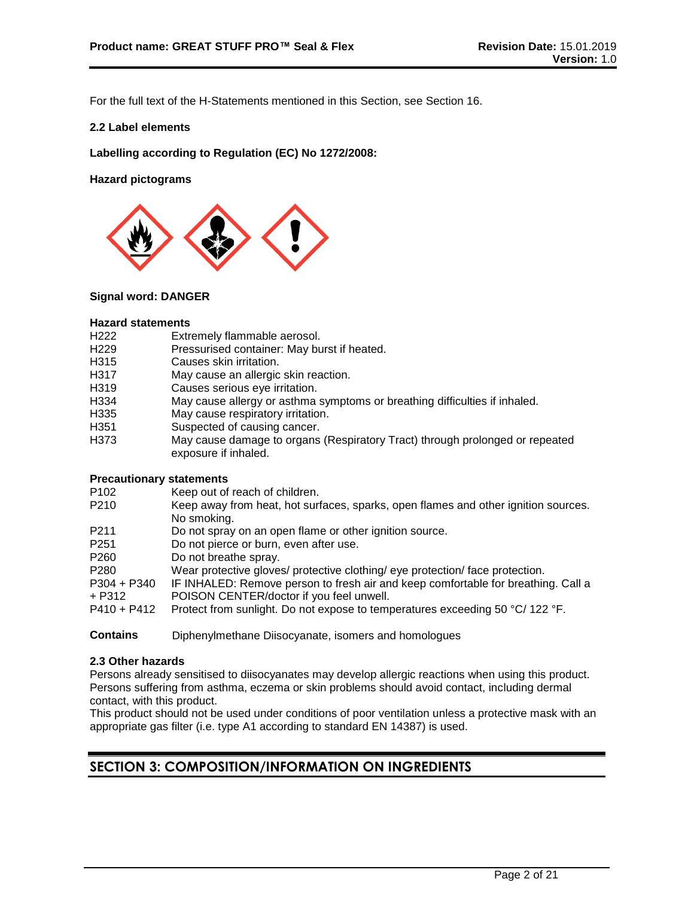For the full text of the H-Statements mentioned in this Section, see Section 16.

### **2.2 Label elements**

**Labelling according to Regulation (EC) No 1272/2008:**

**Hazard pictograms**



#### **Signal word: DANGER**

#### **Hazard statements**

- H222 Extremely flammable aerosol.<br>H229 Pressurised container: May bu
- Pressurised container: May burst if heated.
- H315 Causes skin irritation.
- H317 May cause an allergic skin reaction.
- H319 Causes serious eye irritation.
- H334 May cause allergy or asthma symptoms or breathing difficulties if inhaled.
- H335 May cause respiratory irritation.
- H351 Suspected of causing cancer.
- H373 May cause damage to organs (Respiratory Tract) through prolonged or repeated exposure if inhaled.

#### **Precautionary statements**

- P102 Keep out of reach of children.
- P210 Keep away from heat, hot surfaces, sparks, open flames and other ignition sources. No smoking.
- P211 Do not spray on an open flame or other ignition source.
- P251 Do not pierce or burn, even after use.
- P260 Do not breathe spray.
- P280 Wear protective gloves/ protective clothing/ eye protection/ face protection.
- P304 + P340 IF INHALED: Remove person to fresh air and keep comfortable for breathing. Call a
- + P312 POISON CENTER/doctor if you feel unwell.
- P410 + P412 Protect from sunlight. Do not expose to temperatures exceeding 50 °C/ 122 °F.
- **Contains** Diphenylmethane Diisocyanate, isomers and homologues

#### **2.3 Other hazards**

Persons already sensitised to diisocyanates may develop allergic reactions when using this product. Persons suffering from asthma, eczema or skin problems should avoid contact, including dermal contact, with this product.

This product should not be used under conditions of poor ventilation unless a protective mask with an appropriate gas filter (i.e. type A1 according to standard EN 14387) is used.

# **SECTION 3: COMPOSITION/INFORMATION ON INGREDIENTS**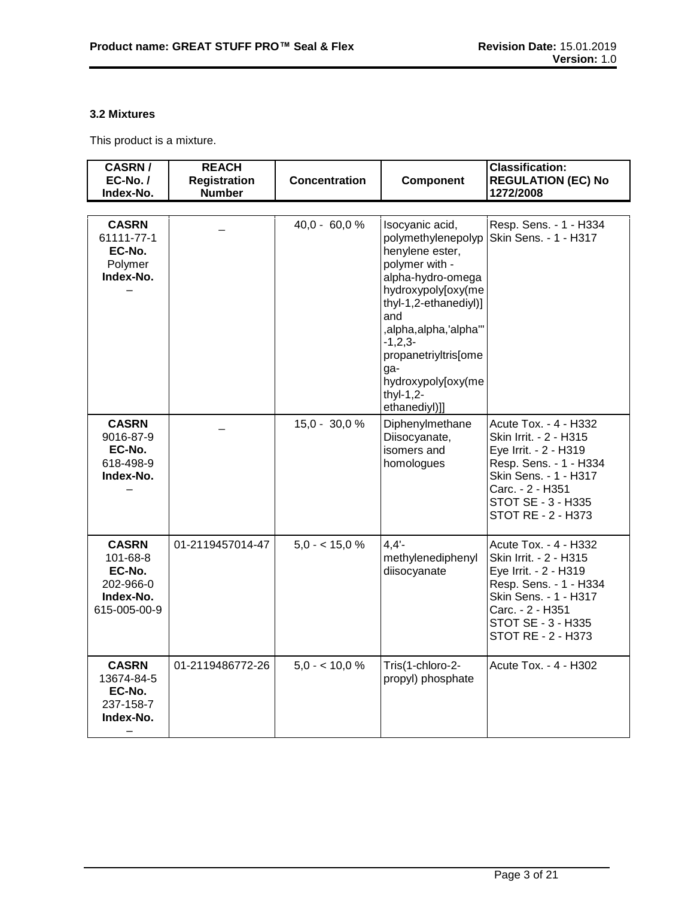# **3.2 Mixtures**

This product is a mixture.

| <b>CASRN/</b><br>$EC-No. /$<br>Index-No.                                     | <b>REACH</b><br><b>Registration</b><br><b>Number</b> | <b>Concentration</b> | <b>Component</b>                                                                                                                                                               | <b>Classification:</b><br><b>REGULATION (EC) No</b><br>1272/2008                                                                                                                            |
|------------------------------------------------------------------------------|------------------------------------------------------|----------------------|--------------------------------------------------------------------------------------------------------------------------------------------------------------------------------|---------------------------------------------------------------------------------------------------------------------------------------------------------------------------------------------|
| <b>CASRN</b><br>61111-77-1<br>EC-No.<br>Polymer<br>Index-No.                 |                                                      | $40,0 - 60,0 %$      | Isocyanic acid,<br>polymethylenepolyp<br>henylene ester,<br>polymer with -<br>alpha-hydro-omega<br>hydroxypoly[oxy(me<br>thyl-1,2-ethanediyl)]<br>and<br>,alpha,alpha,'alpha'" | Resp. Sens. - 1 - H334<br>Skin Sens. - 1 - H317                                                                                                                                             |
|                                                                              |                                                      |                      | $-1, 2, 3-$<br>propanetriyltris[ome<br>ga-<br>hydroxypoly[oxy(me<br>thyl-1,2-<br>ethanediyl)]]                                                                                 |                                                                                                                                                                                             |
| <b>CASRN</b><br>9016-87-9<br>EC-No.<br>618-498-9<br>Index-No.                |                                                      | $15,0 - 30,0 %$      | Diphenylmethane<br>Diisocyanate,<br>isomers and<br>homologues                                                                                                                  | Acute Tox. - 4 - H332<br>Skin Irrit. - 2 - H315<br>Eye Irrit. - 2 - H319<br>Resp. Sens. - 1 - H334<br>Skin Sens. - 1 - H317<br>Carc. - 2 - H351<br>STOT SE - 3 - H335<br>STOT RE - 2 - H373 |
| <b>CASRN</b><br>101-68-8<br>EC-No.<br>202-966-0<br>Index-No.<br>615-005-00-9 | 01-2119457014-47                                     | $5.0 - 15.0 \%$      | $4.4'$ -<br>methylenediphenyl<br>diisocyanate                                                                                                                                  | Acute Tox. - 4 - H332<br>Skin Irrit. - 2 - H315<br>Eye Irrit. - 2 - H319<br>Resp. Sens. - 1 - H334<br>Skin Sens. - 1 - H317<br>Carc. - 2 - H351<br>STOT SE - 3 - H335<br>STOT RE - 2 - H373 |
| <b>CASRN</b><br>13674-84-5<br>EC-No.<br>237-158-7<br>Index-No.               | 01-2119486772-26                                     | $5.0 - 10.0 \%$      | Tris(1-chloro-2-<br>propyl) phosphate                                                                                                                                          | Acute Tox. - 4 - H302                                                                                                                                                                       |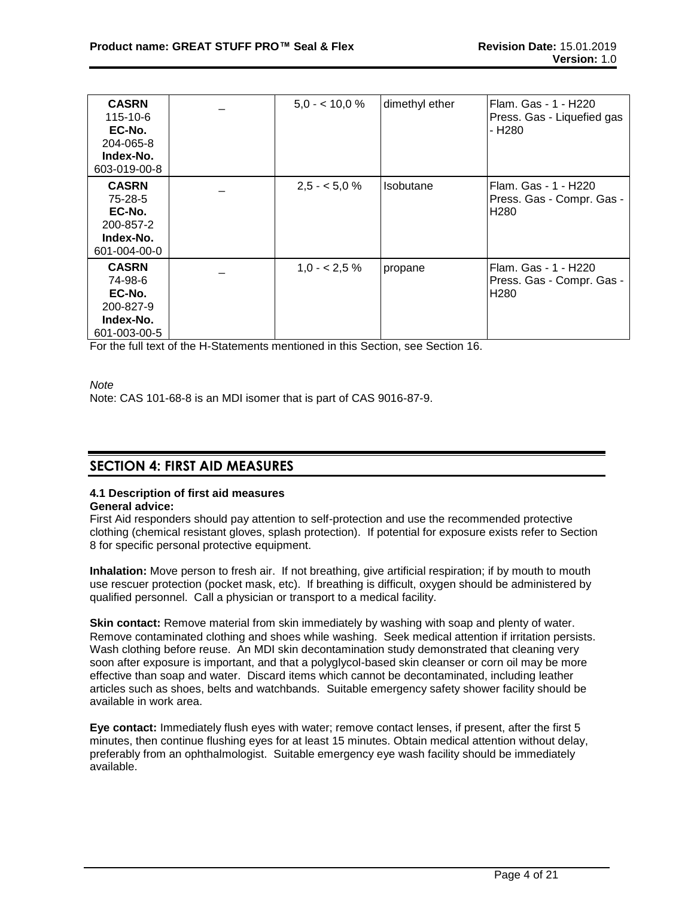| <b>CASRN</b><br>115-10-6<br>EC-No.<br>204-065-8<br>Index-No.<br>603-019-00-8 | $5.0 - 10.0 \%$ | dimethyl ether | Flam. Gas - 1 - H220<br>Press. Gas - Liquefied gas<br>- H <sub>2</sub> 80 |
|------------------------------------------------------------------------------|-----------------|----------------|---------------------------------------------------------------------------|
| <b>CASRN</b><br>75-28-5<br>EC-No.<br>200-857-2<br>Index-No.<br>601-004-00-0  | $2,5 - 5,0%$    | Isobutane      | Flam. Gas - 1 - H220<br>Press. Gas - Compr. Gas -<br>H <sub>280</sub>     |
| <b>CASRN</b><br>74-98-6<br>EC-No.<br>200-827-9<br>Index-No.<br>601-003-00-5  | $1,0 - 2,5\%$   | propane        | Flam. Gas - 1 - H220<br>Press. Gas - Compr. Gas -<br>H <sub>280</sub>     |

For the full text of the H-Statements mentioned in this Section, see Section 16.

*Note*

Note: CAS 101-68-8 is an MDI isomer that is part of CAS 9016-87-9.

# **SECTION 4: FIRST AID MEASURES**

# **4.1 Description of first aid measures**

# **General advice:**

First Aid responders should pay attention to self-protection and use the recommended protective clothing (chemical resistant gloves, splash protection). If potential for exposure exists refer to Section 8 for specific personal protective equipment.

**Inhalation:** Move person to fresh air. If not breathing, give artificial respiration; if by mouth to mouth use rescuer protection (pocket mask, etc). If breathing is difficult, oxygen should be administered by qualified personnel. Call a physician or transport to a medical facility.

**Skin contact:** Remove material from skin immediately by washing with soap and plenty of water. Remove contaminated clothing and shoes while washing. Seek medical attention if irritation persists. Wash clothing before reuse. An MDI skin decontamination study demonstrated that cleaning very soon after exposure is important, and that a polyglycol-based skin cleanser or corn oil may be more effective than soap and water. Discard items which cannot be decontaminated, including leather articles such as shoes, belts and watchbands. Suitable emergency safety shower facility should be available in work area.

**Eye contact:** Immediately flush eyes with water; remove contact lenses, if present, after the first 5 minutes, then continue flushing eyes for at least 15 minutes. Obtain medical attention without delay, preferably from an ophthalmologist. Suitable emergency eye wash facility should be immediately available.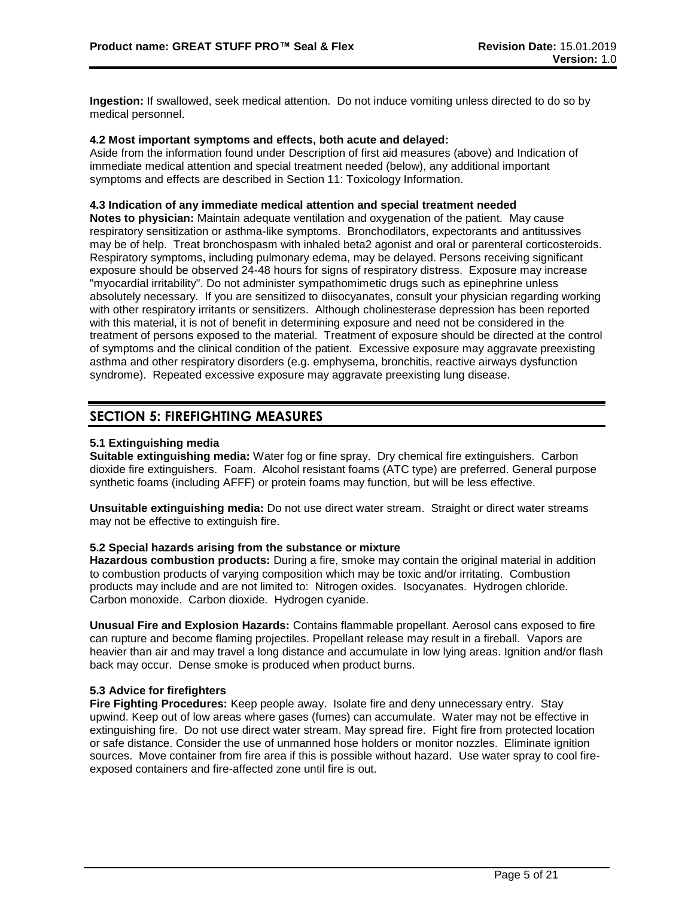**Ingestion:** If swallowed, seek medical attention. Do not induce vomiting unless directed to do so by medical personnel.

### **4.2 Most important symptoms and effects, both acute and delayed:**

Aside from the information found under Description of first aid measures (above) and Indication of immediate medical attention and special treatment needed (below), any additional important symptoms and effects are described in Section 11: Toxicology Information.

# **4.3 Indication of any immediate medical attention and special treatment needed**

**Notes to physician:** Maintain adequate ventilation and oxygenation of the patient. May cause respiratory sensitization or asthma-like symptoms. Bronchodilators, expectorants and antitussives may be of help. Treat bronchospasm with inhaled beta2 agonist and oral or parenteral corticosteroids. Respiratory symptoms, including pulmonary edema, may be delayed. Persons receiving significant exposure should be observed 24-48 hours for signs of respiratory distress. Exposure may increase "myocardial irritability". Do not administer sympathomimetic drugs such as epinephrine unless absolutely necessary. If you are sensitized to diisocyanates, consult your physician regarding working with other respiratory irritants or sensitizers. Although cholinesterase depression has been reported with this material, it is not of benefit in determining exposure and need not be considered in the treatment of persons exposed to the material. Treatment of exposure should be directed at the control of symptoms and the clinical condition of the patient. Excessive exposure may aggravate preexisting asthma and other respiratory disorders (e.g. emphysema, bronchitis, reactive airways dysfunction syndrome). Repeated excessive exposure may aggravate preexisting lung disease.

# **SECTION 5: FIREFIGHTING MEASURES**

# **5.1 Extinguishing media**

**Suitable extinguishing media:** Water fog or fine spray. Dry chemical fire extinguishers. Carbon dioxide fire extinguishers. Foam. Alcohol resistant foams (ATC type) are preferred. General purpose synthetic foams (including AFFF) or protein foams may function, but will be less effective.

**Unsuitable extinguishing media:** Do not use direct water stream. Straight or direct water streams may not be effective to extinguish fire.

#### **5.2 Special hazards arising from the substance or mixture**

**Hazardous combustion products:** During a fire, smoke may contain the original material in addition to combustion products of varying composition which may be toxic and/or irritating. Combustion products may include and are not limited to: Nitrogen oxides. Isocyanates. Hydrogen chloride. Carbon monoxide. Carbon dioxide. Hydrogen cyanide.

**Unusual Fire and Explosion Hazards:** Contains flammable propellant. Aerosol cans exposed to fire can rupture and become flaming projectiles. Propellant release may result in a fireball. Vapors are heavier than air and may travel a long distance and accumulate in low lying areas. Ignition and/or flash back may occur. Dense smoke is produced when product burns.

# **5.3 Advice for firefighters**

**Fire Fighting Procedures:** Keep people away. Isolate fire and deny unnecessary entry. Stay upwind. Keep out of low areas where gases (fumes) can accumulate. Water may not be effective in extinguishing fire. Do not use direct water stream. May spread fire. Fight fire from protected location or safe distance. Consider the use of unmanned hose holders or monitor nozzles. Eliminate ignition sources. Move container from fire area if this is possible without hazard. Use water spray to cool fireexposed containers and fire-affected zone until fire is out.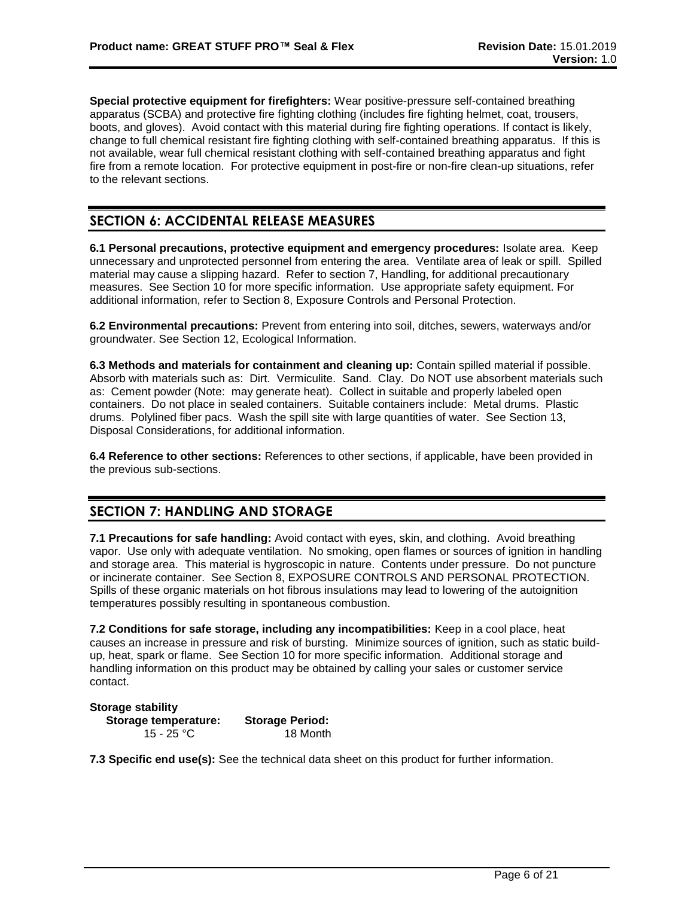**Special protective equipment for firefighters:** Wear positive-pressure self-contained breathing apparatus (SCBA) and protective fire fighting clothing (includes fire fighting helmet, coat, trousers, boots, and gloves). Avoid contact with this material during fire fighting operations. If contact is likely, change to full chemical resistant fire fighting clothing with self-contained breathing apparatus. If this is not available, wear full chemical resistant clothing with self-contained breathing apparatus and fight fire from a remote location. For protective equipment in post-fire or non-fire clean-up situations, refer to the relevant sections.

# **SECTION 6: ACCIDENTAL RELEASE MEASURES**

**6.1 Personal precautions, protective equipment and emergency procedures:** Isolate area. Keep unnecessary and unprotected personnel from entering the area. Ventilate area of leak or spill. Spilled material may cause a slipping hazard. Refer to section 7, Handling, for additional precautionary measures. See Section 10 for more specific information. Use appropriate safety equipment. For additional information, refer to Section 8, Exposure Controls and Personal Protection.

**6.2 Environmental precautions:** Prevent from entering into soil, ditches, sewers, waterways and/or groundwater. See Section 12, Ecological Information.

**6.3 Methods and materials for containment and cleaning up:** Contain spilled material if possible. Absorb with materials such as: Dirt. Vermiculite. Sand. Clay. Do NOT use absorbent materials such as: Cement powder (Note: may generate heat). Collect in suitable and properly labeled open containers. Do not place in sealed containers. Suitable containers include: Metal drums. Plastic drums. Polylined fiber pacs. Wash the spill site with large quantities of water. See Section 13, Disposal Considerations, for additional information.

**6.4 Reference to other sections:** References to other sections, if applicable, have been provided in the previous sub-sections.

# **SECTION 7: HANDLING AND STORAGE**

**7.1 Precautions for safe handling:** Avoid contact with eyes, skin, and clothing. Avoid breathing vapor. Use only with adequate ventilation. No smoking, open flames or sources of ignition in handling and storage area. This material is hygroscopic in nature. Contents under pressure. Do not puncture or incinerate container. See Section 8, EXPOSURE CONTROLS AND PERSONAL PROTECTION. Spills of these organic materials on hot fibrous insulations may lead to lowering of the autoignition temperatures possibly resulting in spontaneous combustion.

**7.2 Conditions for safe storage, including any incompatibilities:** Keep in a cool place, heat causes an increase in pressure and risk of bursting. Minimize sources of ignition, such as static buildup, heat, spark or flame. See Section 10 for more specific information. Additional storage and handling information on this product may be obtained by calling your sales or customer service contact.

#### **Storage stability**

**Storage temperature: Storage Period:** 15 - 25 °C 18 Month

**7.3 Specific end use(s):** See the technical data sheet on this product for further information.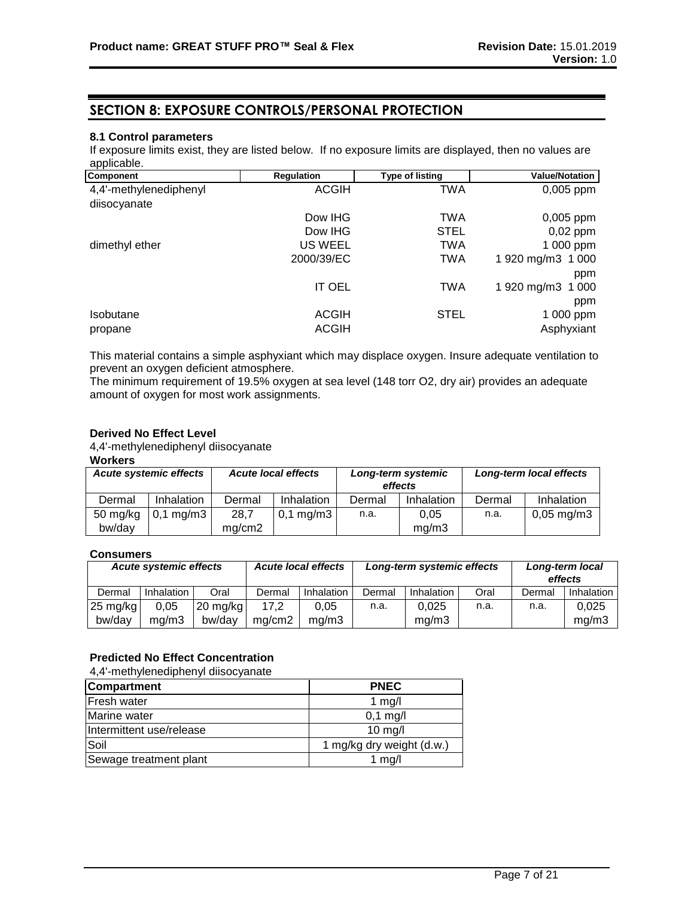# **SECTION 8: EXPOSURE CONTROLS/PERSONAL PROTECTION**

# **8.1 Control parameters**

If exposure limits exist, they are listed below. If no exposure limits are displayed, then no values are applicable.

| Component              | <b>Regulation</b> | <b>Type of listing</b> | <b>Value/Notation</b> |
|------------------------|-------------------|------------------------|-----------------------|
| 4,4'-methylenediphenyl | <b>ACGIH</b>      | TWA                    | $0,005$ ppm           |
| diisocyanate           |                   |                        |                       |
|                        | Dow IHG           | TWA                    | 0,005 ppm             |
|                        | Dow IHG           | <b>STEL</b>            | $0,02$ ppm            |
| dimethyl ether         | US WEEL           | TWA                    | 1 000 ppm             |
|                        | 2000/39/EC        | TWA                    | 1 920 mg/m3 1 000     |
|                        |                   |                        | ppm                   |
|                        | <b>IT OEL</b>     | <b>TWA</b>             | 1 920 mg/m3 1 000     |
|                        |                   |                        | ppm                   |
| Isobutane              | <b>ACGIH</b>      | STEL                   | 1 000 ppm             |
| propane                | <b>ACGIH</b>      |                        | Asphyxiant            |

This material contains a simple asphyxiant which may displace oxygen. Insure adequate ventilation to prevent an oxygen deficient atmosphere.

The minimum requirement of 19.5% oxygen at sea level (148 torr O2, dry air) provides an adequate amount of oxygen for most work assignments.

### **Derived No Effect Level**

4,4'-methylenediphenyl diisocyanate

**Workers**

| <b>Acute systemic effects</b> |                      | <b>Acute local effects</b> |                | Long-term systemic<br>effects |            | Long-term local effects |                          |
|-------------------------------|----------------------|----------------------------|----------------|-------------------------------|------------|-------------------------|--------------------------|
| Dermal                        | Inhalation           | Dermal                     | Inhalation     | Dermal                        | Inhalation | Dermal                  | Inhalation               |
| 50 mg/kg                      | $0,1 \text{ mg/m}$ 3 | 28,7                       | $0,1$ mg/m $3$ | n.a.                          | 0.05       | n.a.                    | $0,05 \,\mathrm{mg/m}$ 3 |
| bw/day                        |                      | mg/cm2                     |                |                               | mq/m3      |                         |                          |

# **Consumers**

| <b>Acute systemic effects</b> |            | <b>Acute local effects</b> |        |                   | Long-term systemic effects |            | Long-term local<br>effects |        |            |
|-------------------------------|------------|----------------------------|--------|-------------------|----------------------------|------------|----------------------------|--------|------------|
| Dermal                        | Inhalation | Oral                       | Dermal | <b>Inhalation</b> | Dermal                     | Inhalation | Oral                       | Dermal | Inhalation |
| $25 \text{ mg/kg}$            | 0,05       | $20 \text{ mg/kg}$         | 17.2   | 0.05              | n.a.                       | 0.025      | n.a.                       | n.a.   | 0.025      |
| bw/day                        | ma/m3      | bw/day                     | ma/cm2 | mg/m3             |                            | mg/m3      |                            |        | mg/m3      |

# **Predicted No Effect Concentration**

4,4'-methylenediphenyl diisocyanate

| <b>Compartment</b>       | <b>PNEC</b>               |
|--------------------------|---------------------------|
| <b>Fresh water</b>       | 1 $mg/l$                  |
| Marine water             | $0,1$ mg/l                |
| Intermittent use/release | $10$ mg/l                 |
| Soil                     | 1 mg/kg dry weight (d.w.) |
| Sewage treatment plant   | 1 $mq/l$                  |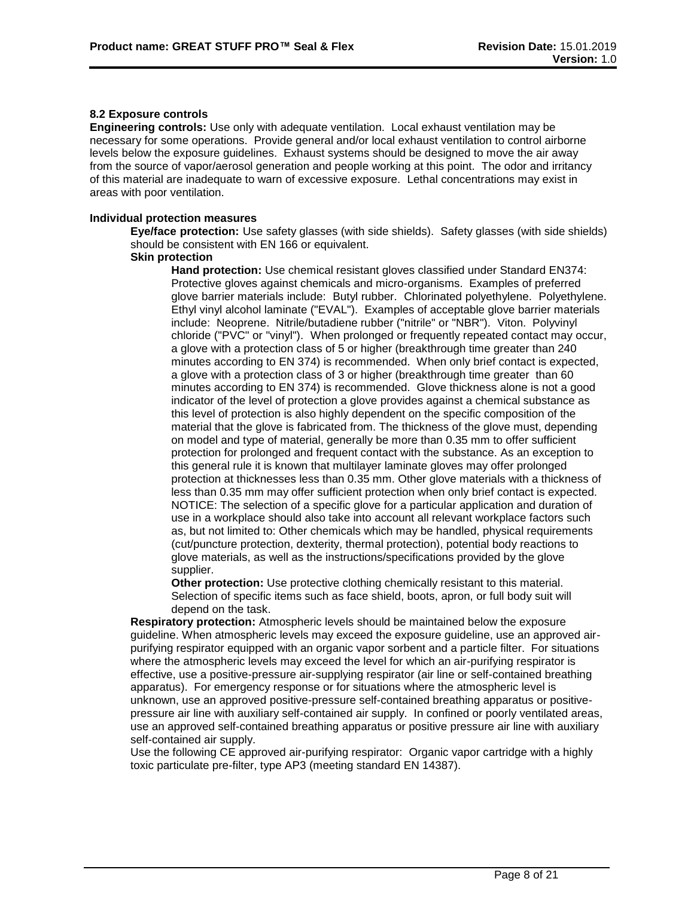# **8.2 Exposure controls**

**Engineering controls:** Use only with adequate ventilation. Local exhaust ventilation may be necessary for some operations. Provide general and/or local exhaust ventilation to control airborne levels below the exposure guidelines. Exhaust systems should be designed to move the air away from the source of vapor/aerosol generation and people working at this point. The odor and irritancy of this material are inadequate to warn of excessive exposure. Lethal concentrations may exist in areas with poor ventilation.

### **Individual protection measures**

**Eye/face protection:** Use safety glasses (with side shields). Safety glasses (with side shields) should be consistent with EN 166 or equivalent.

### **Skin protection**

**Hand protection:** Use chemical resistant gloves classified under Standard EN374: Protective gloves against chemicals and micro-organisms. Examples of preferred glove barrier materials include: Butyl rubber. Chlorinated polyethylene. Polyethylene. Ethyl vinyl alcohol laminate ("EVAL"). Examples of acceptable glove barrier materials include: Neoprene. Nitrile/butadiene rubber ("nitrile" or "NBR"). Viton. Polyvinyl chloride ("PVC" or "vinyl"). When prolonged or frequently repeated contact may occur, a glove with a protection class of 5 or higher (breakthrough time greater than 240 minutes according to EN 374) is recommended. When only brief contact is expected, a glove with a protection class of 3 or higher (breakthrough time greater than 60 minutes according to EN 374) is recommended. Glove thickness alone is not a good indicator of the level of protection a glove provides against a chemical substance as this level of protection is also highly dependent on the specific composition of the material that the glove is fabricated from. The thickness of the glove must, depending on model and type of material, generally be more than 0.35 mm to offer sufficient protection for prolonged and frequent contact with the substance. As an exception to this general rule it is known that multilayer laminate gloves may offer prolonged protection at thicknesses less than 0.35 mm. Other glove materials with a thickness of less than 0.35 mm may offer sufficient protection when only brief contact is expected. NOTICE: The selection of a specific glove for a particular application and duration of use in a workplace should also take into account all relevant workplace factors such as, but not limited to: Other chemicals which may be handled, physical requirements (cut/puncture protection, dexterity, thermal protection), potential body reactions to glove materials, as well as the instructions/specifications provided by the glove supplier.

**Other protection:** Use protective clothing chemically resistant to this material. Selection of specific items such as face shield, boots, apron, or full body suit will depend on the task.

**Respiratory protection:** Atmospheric levels should be maintained below the exposure guideline. When atmospheric levels may exceed the exposure guideline, use an approved airpurifying respirator equipped with an organic vapor sorbent and a particle filter. For situations where the atmospheric levels may exceed the level for which an air-purifying respirator is effective, use a positive-pressure air-supplying respirator (air line or self-contained breathing apparatus). For emergency response or for situations where the atmospheric level is unknown, use an approved positive-pressure self-contained breathing apparatus or positivepressure air line with auxiliary self-contained air supply. In confined or poorly ventilated areas, use an approved self-contained breathing apparatus or positive pressure air line with auxiliary self-contained air supply.

Use the following CE approved air-purifying respirator: Organic vapor cartridge with a highly toxic particulate pre-filter, type AP3 (meeting standard EN 14387).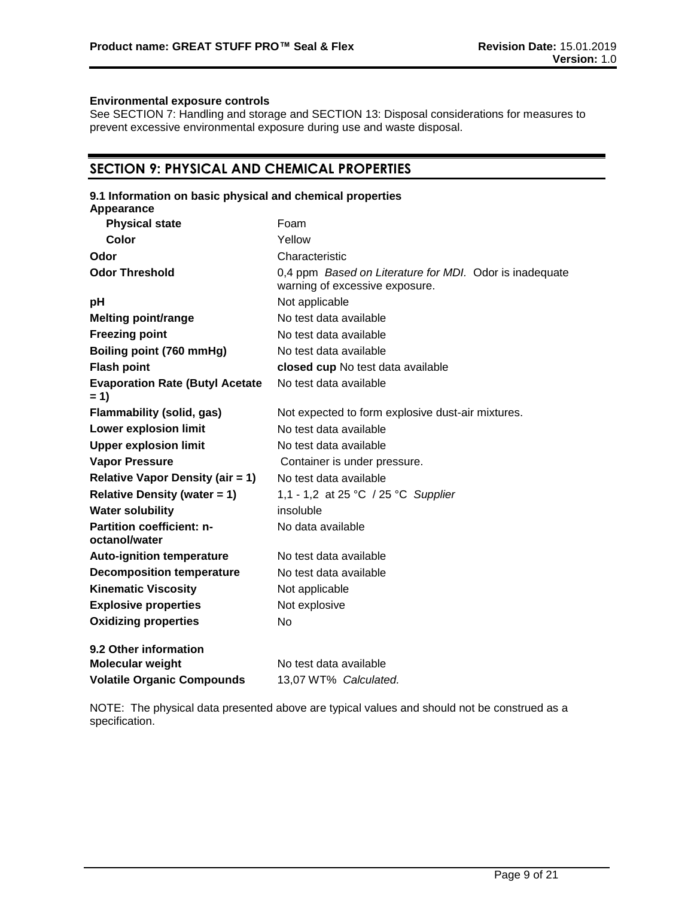#### **Environmental exposure controls**

See SECTION 7: Handling and storage and SECTION 13: Disposal considerations for measures to prevent excessive environmental exposure during use and waste disposal.

# **SECTION 9: PHYSICAL AND CHEMICAL PROPERTIES**

# **9.1 Information on basic physical and chemical properties**

| Appearance                                        |                                                                                           |
|---------------------------------------------------|-------------------------------------------------------------------------------------------|
| <b>Physical state</b>                             | Foam                                                                                      |
| <b>Color</b>                                      | Yellow                                                                                    |
| Odor                                              | Characteristic                                                                            |
| <b>Odor Threshold</b>                             | 0,4 ppm Based on Literature for MDI. Odor is inadequate<br>warning of excessive exposure. |
| рH                                                | Not applicable                                                                            |
| <b>Melting point/range</b>                        | No test data available                                                                    |
| <b>Freezing point</b>                             | No test data available                                                                    |
| Boiling point (760 mmHg)                          | No test data available                                                                    |
| <b>Flash point</b>                                | closed cup No test data available                                                         |
| <b>Evaporation Rate (Butyl Acetate</b><br>$= 1$   | No test data available                                                                    |
| <b>Flammability (solid, gas)</b>                  | Not expected to form explosive dust-air mixtures.                                         |
| <b>Lower explosion limit</b>                      | No test data available                                                                    |
| <b>Upper explosion limit</b>                      | No test data available                                                                    |
| <b>Vapor Pressure</b>                             | Container is under pressure.                                                              |
| <b>Relative Vapor Density (air = 1)</b>           | No test data available                                                                    |
| <b>Relative Density (water = 1)</b>               | 1,1 - 1,2 at 25 °C / 25 °C Supplier                                                       |
| <b>Water solubility</b>                           | insoluble                                                                                 |
| <b>Partition coefficient: n-</b><br>octanol/water | No data available                                                                         |
| <b>Auto-ignition temperature</b>                  | No test data available                                                                    |
| <b>Decomposition temperature</b>                  | No test data available                                                                    |
| <b>Kinematic Viscosity</b>                        | Not applicable                                                                            |
| <b>Explosive properties</b>                       | Not explosive                                                                             |
| <b>Oxidizing properties</b>                       | No                                                                                        |
| 9.2 Other information                             |                                                                                           |
| <b>Molecular weight</b>                           | No test data available                                                                    |
| <b>Volatile Organic Compounds</b>                 | 13,07 WT% Calculated.                                                                     |

NOTE: The physical data presented above are typical values and should not be construed as a specification.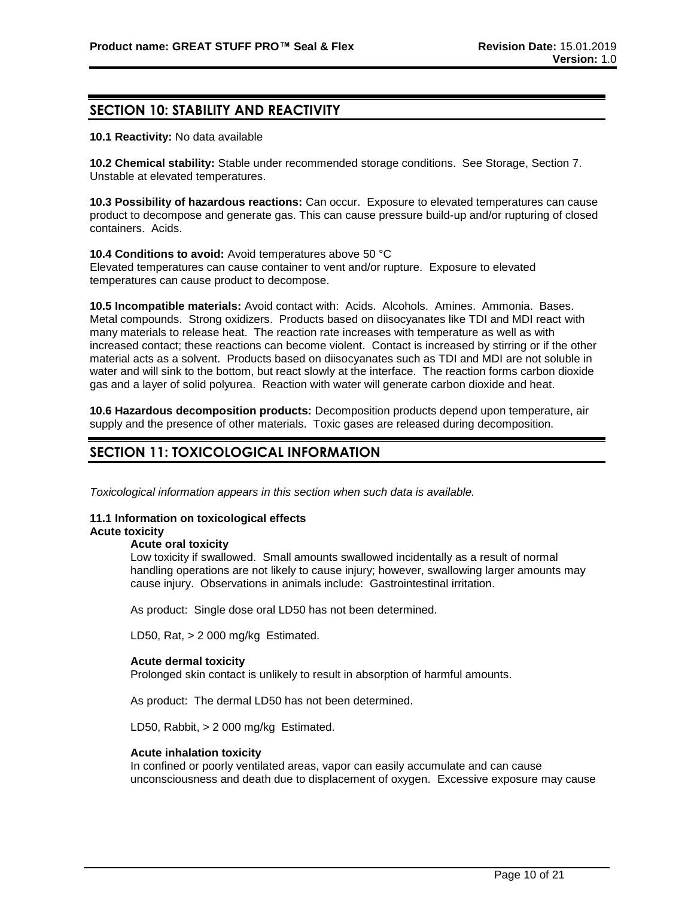# **SECTION 10: STABILITY AND REACTIVITY**

**10.1 Reactivity:** No data available

**10.2 Chemical stability:** Stable under recommended storage conditions. See Storage, Section 7. Unstable at elevated temperatures.

**10.3 Possibility of hazardous reactions:** Can occur. Exposure to elevated temperatures can cause product to decompose and generate gas. This can cause pressure build-up and/or rupturing of closed containers. Acids.

**10.4 Conditions to avoid:** Avoid temperatures above 50 °C Elevated temperatures can cause container to vent and/or rupture. Exposure to elevated temperatures can cause product to decompose.

**10.5 Incompatible materials:** Avoid contact with: Acids. Alcohols. Amines. Ammonia. Bases. Metal compounds. Strong oxidizers. Products based on diisocyanates like TDI and MDI react with many materials to release heat. The reaction rate increases with temperature as well as with increased contact; these reactions can become violent. Contact is increased by stirring or if the other material acts as a solvent. Products based on diisocyanates such as TDI and MDI are not soluble in water and will sink to the bottom, but react slowly at the interface. The reaction forms carbon dioxide gas and a layer of solid polyurea. Reaction with water will generate carbon dioxide and heat.

**10.6 Hazardous decomposition products:** Decomposition products depend upon temperature, air supply and the presence of other materials. Toxic gases are released during decomposition.

# **SECTION 11: TOXICOLOGICAL INFORMATION**

*Toxicological information appears in this section when such data is available.*

#### **11.1 Information on toxicological effects Acute toxicity**

#### **Acute oral toxicity**

Low toxicity if swallowed. Small amounts swallowed incidentally as a result of normal handling operations are not likely to cause injury; however, swallowing larger amounts may cause injury. Observations in animals include: Gastrointestinal irritation.

As product: Single dose oral LD50 has not been determined.

LD50, Rat, > 2 000 mg/kg Estimated.

#### **Acute dermal toxicity**

Prolonged skin contact is unlikely to result in absorption of harmful amounts.

As product: The dermal LD50 has not been determined.

LD50, Rabbit, > 2 000 mg/kg Estimated.

#### **Acute inhalation toxicity**

In confined or poorly ventilated areas, vapor can easily accumulate and can cause unconsciousness and death due to displacement of oxygen. Excessive exposure may cause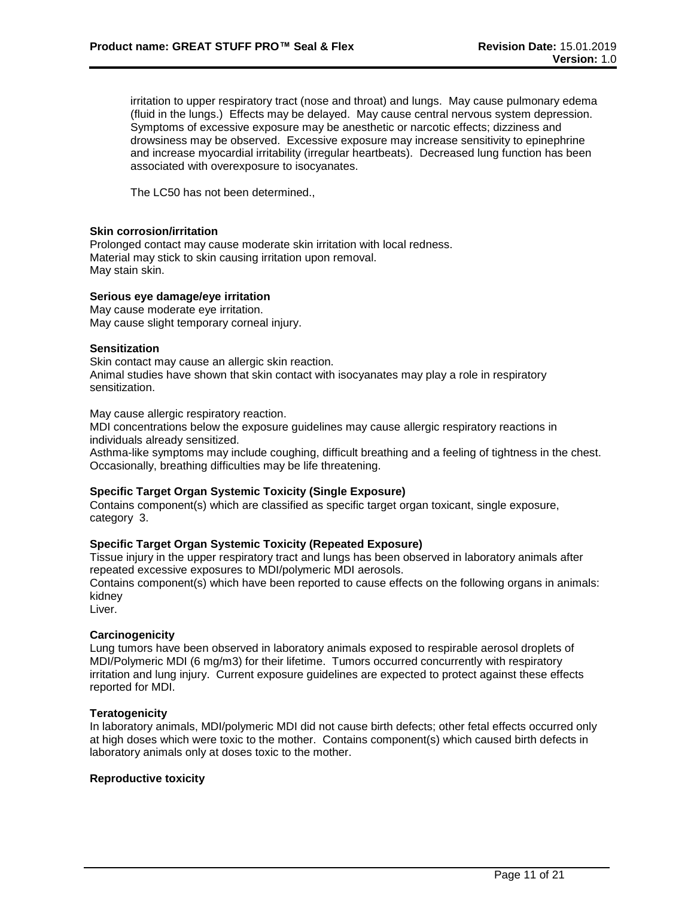irritation to upper respiratory tract (nose and throat) and lungs. May cause pulmonary edema (fluid in the lungs.) Effects may be delayed. May cause central nervous system depression. Symptoms of excessive exposure may be anesthetic or narcotic effects; dizziness and drowsiness may be observed. Excessive exposure may increase sensitivity to epinephrine and increase myocardial irritability (irregular heartbeats). Decreased lung function has been associated with overexposure to isocyanates.

The LC50 has not been determined.,

### **Skin corrosion/irritation**

Prolonged contact may cause moderate skin irritation with local redness. Material may stick to skin causing irritation upon removal. May stain skin.

#### **Serious eye damage/eye irritation**

May cause moderate eye irritation. May cause slight temporary corneal injury.

#### **Sensitization**

Skin contact may cause an allergic skin reaction. Animal studies have shown that skin contact with isocyanates may play a role in respiratory sensitization.

May cause allergic respiratory reaction.

MDI concentrations below the exposure guidelines may cause allergic respiratory reactions in individuals already sensitized.

Asthma-like symptoms may include coughing, difficult breathing and a feeling of tightness in the chest. Occasionally, breathing difficulties may be life threatening.

#### **Specific Target Organ Systemic Toxicity (Single Exposure)**

Contains component(s) which are classified as specific target organ toxicant, single exposure, category 3.

#### **Specific Target Organ Systemic Toxicity (Repeated Exposure)**

Tissue injury in the upper respiratory tract and lungs has been observed in laboratory animals after repeated excessive exposures to MDI/polymeric MDI aerosols.

Contains component(s) which have been reported to cause effects on the following organs in animals: kidney

Liver.

#### **Carcinogenicity**

Lung tumors have been observed in laboratory animals exposed to respirable aerosol droplets of MDI/Polymeric MDI (6 mg/m3) for their lifetime. Tumors occurred concurrently with respiratory irritation and lung injury. Current exposure guidelines are expected to protect against these effects reported for MDI.

#### **Teratogenicity**

In laboratory animals, MDI/polymeric MDI did not cause birth defects; other fetal effects occurred only at high doses which were toxic to the mother. Contains component(s) which caused birth defects in laboratory animals only at doses toxic to the mother.

#### **Reproductive toxicity**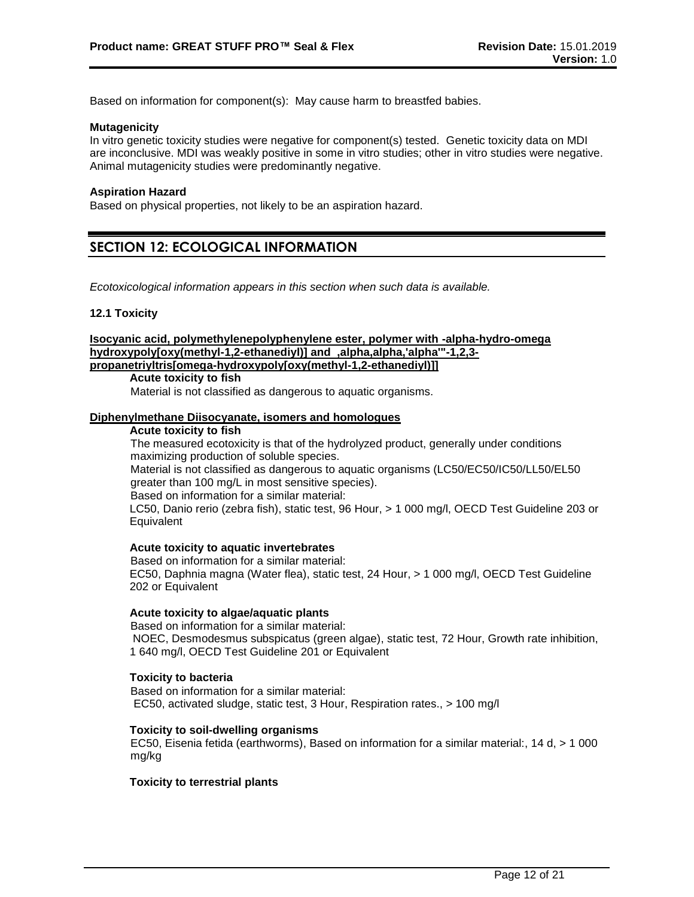Based on information for component(s): May cause harm to breastfed babies.

#### **Mutagenicity**

In vitro genetic toxicity studies were negative for component(s) tested. Genetic toxicity data on MDI are inconclusive. MDI was weakly positive in some in vitro studies; other in vitro studies were negative. Animal mutagenicity studies were predominantly negative.

#### **Aspiration Hazard**

Based on physical properties, not likely to be an aspiration hazard.

# **SECTION 12: ECOLOGICAL INFORMATION**

*Ecotoxicological information appears in this section when such data is available.*

#### **12.1 Toxicity**

**Isocyanic acid, polymethylenepolyphenylene ester, polymer with -alpha-hydro-omega hydroxypoly[oxy(methyl-1,2-ethanediyl)] and ,alpha,alpha,'alpha'"-1,2,3 propanetriyltris[omega-hydroxypoly[oxy(methyl-1,2-ethanediyl)]]**

#### **Acute toxicity to fish**

Material is not classified as dangerous to aquatic organisms.

### **Diphenylmethane Diisocyanate, isomers and homologues**

#### **Acute toxicity to fish**

The measured ecotoxicity is that of the hydrolyzed product, generally under conditions maximizing production of soluble species. Material is not classified as dangerous to aquatic organisms (LC50/EC50/IC50/LL50/EL50 greater than 100 mg/L in most sensitive species). Based on information for a similar material: LC50, Danio rerio (zebra fish), static test, 96 Hour, > 1 000 mg/l, OECD Test Guideline 203 or **Equivalent** 

# **Acute toxicity to aquatic invertebrates**

Based on information for a similar material: EC50, Daphnia magna (Water flea), static test, 24 Hour, > 1 000 mg/l, OECD Test Guideline 202 or Equivalent

#### **Acute toxicity to algae/aquatic plants**

Based on information for a similar material: NOEC, Desmodesmus subspicatus (green algae), static test, 72 Hour, Growth rate inhibition, 1 640 mg/l, OECD Test Guideline 201 or Equivalent

#### **Toxicity to bacteria**

Based on information for a similar material: EC50, activated sludge, static test, 3 Hour, Respiration rates., > 100 mg/l

#### **Toxicity to soil-dwelling organisms**

EC50, Eisenia fetida (earthworms), Based on information for a similar material:, 14 d, > 1 000 mg/kg

#### **Toxicity to terrestrial plants**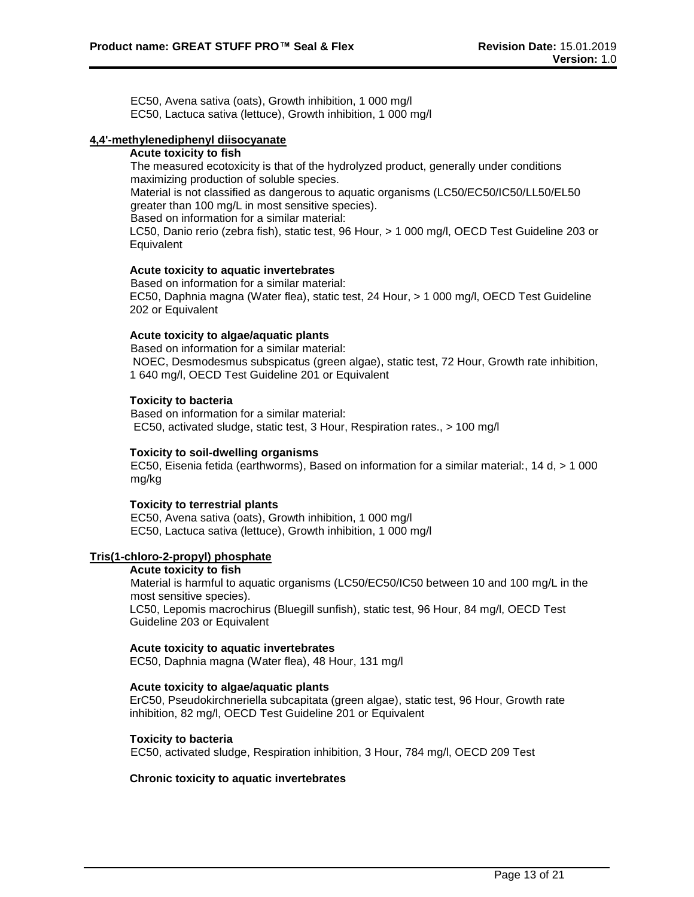EC50, Avena sativa (oats), Growth inhibition, 1 000 mg/l EC50, Lactuca sativa (lettuce), Growth inhibition, 1 000 mg/l

# **4,4'-methylenediphenyl diisocyanate**

#### **Acute toxicity to fish**

The measured ecotoxicity is that of the hydrolyzed product, generally under conditions maximizing production of soluble species.

Material is not classified as dangerous to aquatic organisms (LC50/EC50/IC50/LL50/EL50 greater than 100 mg/L in most sensitive species).

Based on information for a similar material:

LC50, Danio rerio (zebra fish), static test, 96 Hour, > 1 000 mg/l, OECD Test Guideline 203 or **Equivalent** 

### **Acute toxicity to aquatic invertebrates**

Based on information for a similar material: EC50, Daphnia magna (Water flea), static test, 24 Hour, > 1 000 mg/l, OECD Test Guideline 202 or Equivalent

### **Acute toxicity to algae/aquatic plants**

Based on information for a similar material: NOEC, Desmodesmus subspicatus (green algae), static test, 72 Hour, Growth rate inhibition, 1 640 mg/l, OECD Test Guideline 201 or Equivalent

### **Toxicity to bacteria**

Based on information for a similar material: EC50, activated sludge, static test, 3 Hour, Respiration rates., > 100 mg/l

#### **Toxicity to soil-dwelling organisms**

EC50, Eisenia fetida (earthworms), Based on information for a similar material:, 14 d, > 1 000 mg/kg

#### **Toxicity to terrestrial plants**

EC50, Avena sativa (oats), Growth inhibition, 1 000 mg/l EC50, Lactuca sativa (lettuce), Growth inhibition, 1 000 mg/l

#### **Tris(1-chloro-2-propyl) phosphate**

#### **Acute toxicity to fish**

Material is harmful to aquatic organisms (LC50/EC50/IC50 between 10 and 100 mg/L in the most sensitive species). LC50, Lepomis macrochirus (Bluegill sunfish), static test, 96 Hour, 84 mg/l, OECD Test Guideline 203 or Equivalent

#### **Acute toxicity to aquatic invertebrates**

EC50, Daphnia magna (Water flea), 48 Hour, 131 mg/l

#### **Acute toxicity to algae/aquatic plants**

ErC50, Pseudokirchneriella subcapitata (green algae), static test, 96 Hour, Growth rate inhibition, 82 mg/l, OECD Test Guideline 201 or Equivalent

#### **Toxicity to bacteria**

EC50, activated sludge, Respiration inhibition, 3 Hour, 784 mg/l, OECD 209 Test

### **Chronic toxicity to aquatic invertebrates**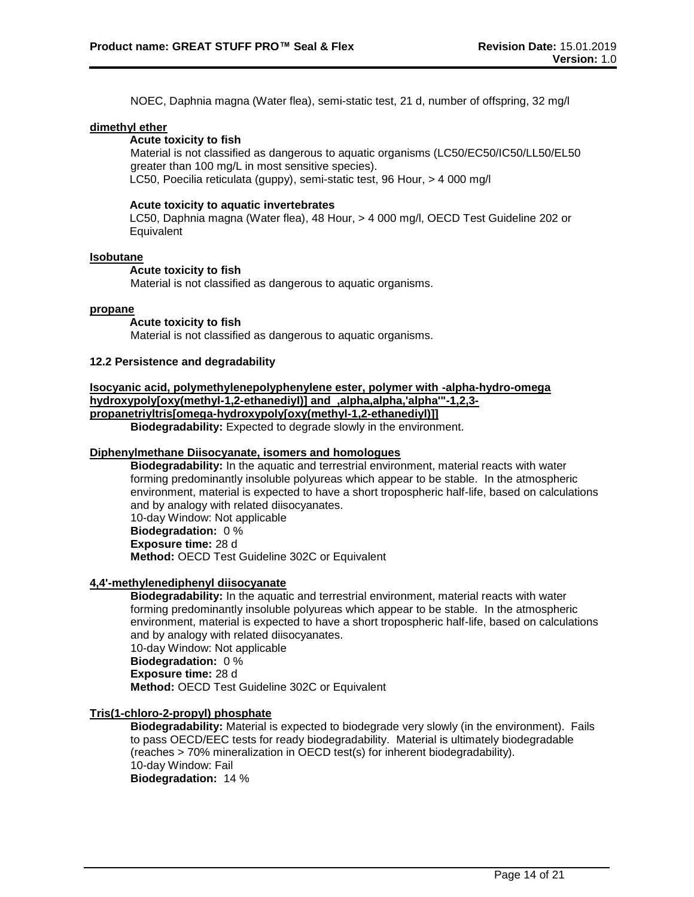NOEC, Daphnia magna (Water flea), semi-static test, 21 d, number of offspring, 32 mg/l

### **dimethyl ether**

# **Acute toxicity to fish**

Material is not classified as dangerous to aquatic organisms (LC50/EC50/IC50/LL50/EL50 greater than 100 mg/L in most sensitive species). LC50, Poecilia reticulata (guppy), semi-static test, 96 Hour, > 4 000 mg/l

#### **Acute toxicity to aquatic invertebrates**

LC50, Daphnia magna (Water flea), 48 Hour, > 4 000 mg/l, OECD Test Guideline 202 or Equivalent

#### **Isobutane**

# **Acute toxicity to fish**

Material is not classified as dangerous to aquatic organisms.

#### **propane**

#### **Acute toxicity to fish**

Material is not classified as dangerous to aquatic organisms.

#### **12.2 Persistence and degradability**

#### **Isocyanic acid, polymethylenepolyphenylene ester, polymer with -alpha-hydro-omega hydroxypoly[oxy(methyl-1,2-ethanediyl)] and ,alpha,alpha,'alpha'"-1,2,3-**

#### **propanetriyltris[omega-hydroxypoly[oxy(methyl-1,2-ethanediyl)]]**

**Biodegradability:** Expected to degrade slowly in the environment.

#### **Diphenylmethane Diisocyanate, isomers and homologues**

**Biodegradability:** In the aquatic and terrestrial environment, material reacts with water forming predominantly insoluble polyureas which appear to be stable. In the atmospheric environment, material is expected to have a short tropospheric half-life, based on calculations and by analogy with related diisocyanates. 10-day Window: Not applicable **Biodegradation:** 0 % **Exposure time:** 28 d

**Method:** OECD Test Guideline 302C or Equivalent

#### **4,4'-methylenediphenyl diisocyanate**

**Biodegradability:** In the aquatic and terrestrial environment, material reacts with water forming predominantly insoluble polyureas which appear to be stable. In the atmospheric environment, material is expected to have a short tropospheric half-life, based on calculations and by analogy with related diisocyanates. 10-day Window: Not applicable **Biodegradation:** 0 % **Exposure time:** 28 d

**Method:** OECD Test Guideline 302C or Equivalent

#### **Tris(1-chloro-2-propyl) phosphate**

**Biodegradability:** Material is expected to biodegrade very slowly (in the environment). Fails to pass OECD/EEC tests for ready biodegradability. Material is ultimately biodegradable (reaches > 70% mineralization in OECD test(s) for inherent biodegradability). 10-day Window: Fail **Biodegradation:** 14 %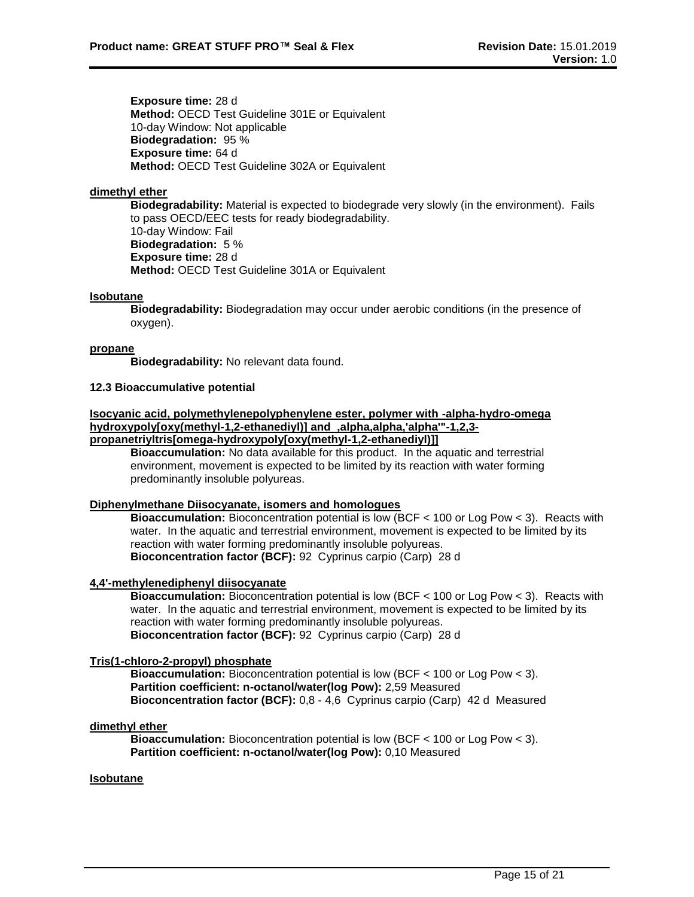**Exposure time:** 28 d **Method: OECD Test Guideline 301E or Equivalent** 10-day Window: Not applicable **Biodegradation:** 95 % **Exposure time:** 64 d **Method:** OECD Test Guideline 302A or Equivalent

# **dimethyl ether**

**Biodegradability:** Material is expected to biodegrade very slowly (in the environment). Fails to pass OECD/EEC tests for ready biodegradability. 10-day Window: Fail **Biodegradation:** 5 % **Exposure time:** 28 d **Method:** OECD Test Guideline 301A or Equivalent

# **Isobutane**

**Biodegradability:** Biodegradation may occur under aerobic conditions (in the presence of oxygen).

### **propane**

**Biodegradability:** No relevant data found.

### **12.3 Bioaccumulative potential**

#### **Isocyanic acid, polymethylenepolyphenylene ester, polymer with -alpha-hydro-omega hydroxypoly[oxy(methyl-1,2-ethanediyl)] and ,alpha,alpha,'alpha'"-1,2,3 propanetriyltris[omega-hydroxypoly[oxy(methyl-1,2-ethanediyl)]]**

**Bioaccumulation:** No data available for this product. In the aquatic and terrestrial environment, movement is expected to be limited by its reaction with water forming predominantly insoluble polyureas.

# **Diphenylmethane Diisocyanate, isomers and homologues**

**Bioaccumulation:** Bioconcentration potential is low (BCF < 100 or Log Pow < 3). Reacts with water. In the aquatic and terrestrial environment, movement is expected to be limited by its reaction with water forming predominantly insoluble polyureas. **Bioconcentration factor (BCF):** 92 Cyprinus carpio (Carp) 28 d

# **4,4'-methylenediphenyl diisocyanate**

**Bioaccumulation:** Bioconcentration potential is low (BCF < 100 or Log Pow < 3). Reacts with water. In the aquatic and terrestrial environment, movement is expected to be limited by its reaction with water forming predominantly insoluble polyureas. **Bioconcentration factor (BCF):** 92 Cyprinus carpio (Carp) 28 d

# **Tris(1-chloro-2-propyl) phosphate**

**Bioaccumulation:** Bioconcentration potential is low (BCF < 100 or Log Pow < 3). **Partition coefficient: n-octanol/water(log Pow):** 2,59 Measured **Bioconcentration factor (BCF):** 0,8 - 4,6 Cyprinus carpio (Carp) 42 d Measured

# **dimethyl ether**

**Bioaccumulation:** Bioconcentration potential is low (BCF < 100 or Log Pow < 3). **Partition coefficient: n-octanol/water(log Pow):** 0,10 Measured

### **Isobutane**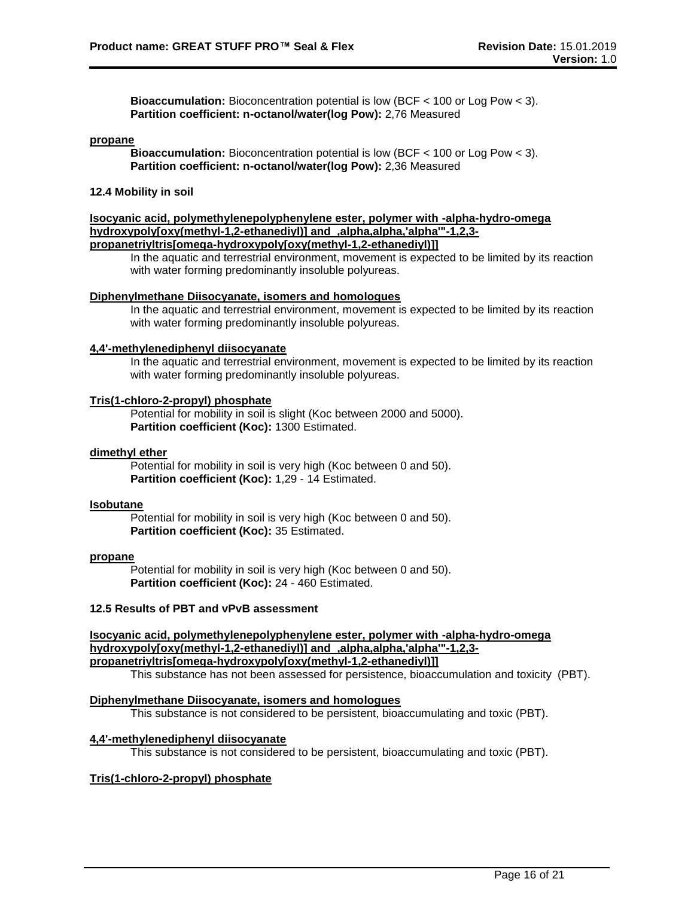**Bioaccumulation:** Bioconcentration potential is low (BCF < 100 or Log Pow < 3). **Partition coefficient: n-octanol/water(log Pow):** 2,76 Measured

#### **propane**

**Bioaccumulation:** Bioconcentration potential is low (BCF < 100 or Log Pow < 3). **Partition coefficient: n-octanol/water(log Pow):** 2,36 Measured

# **12.4 Mobility in soil**

**Isocyanic acid, polymethylenepolyphenylene ester, polymer with -alpha-hydro-omega hydroxypoly[oxy(methyl-1,2-ethanediyl)] and ,alpha,alpha,'alpha'"-1,2,3 propanetriyltris[omega-hydroxypoly[oxy(methyl-1,2-ethanediyl)]]**

In the aquatic and terrestrial environment, movement is expected to be limited by its reaction with water forming predominantly insoluble polyureas.

# **Diphenylmethane Diisocyanate, isomers and homologues**

In the aquatic and terrestrial environment, movement is expected to be limited by its reaction with water forming predominantly insoluble polyureas.

#### **4,4'-methylenediphenyl diisocyanate**

In the aquatic and terrestrial environment, movement is expected to be limited by its reaction with water forming predominantly insoluble polyureas.

#### **Tris(1-chloro-2-propyl) phosphate**

Potential for mobility in soil is slight (Koc between 2000 and 5000). **Partition coefficient (Koc):** 1300 Estimated.

#### **dimethyl ether**

Potential for mobility in soil is very high (Koc between 0 and 50). **Partition coefficient (Koc):** 1,29 - 14 Estimated.

#### **Isobutane**

Potential for mobility in soil is very high (Koc between 0 and 50). **Partition coefficient (Koc):** 35 Estimated.

#### **propane**

Potential for mobility in soil is very high (Koc between 0 and 50). **Partition coefficient (Koc):** 24 - 460 Estimated.

### **12.5 Results of PBT and vPvB assessment**

### **Isocyanic acid, polymethylenepolyphenylene ester, polymer with -alpha-hydro-omega hydroxypoly[oxy(methyl-1,2-ethanediyl)] and ,alpha,alpha,'alpha'"-1,2,3 propanetriyltris[omega-hydroxypoly[oxy(methyl-1,2-ethanediyl)]]**

This substance has not been assessed for persistence, bioaccumulation and toxicity (PBT).

#### **Diphenylmethane Diisocyanate, isomers and homologues**

This substance is not considered to be persistent, bioaccumulating and toxic (PBT).

#### **4,4'-methylenediphenyl diisocyanate**

This substance is not considered to be persistent, bioaccumulating and toxic (PBT).

### **Tris(1-chloro-2-propyl) phosphate**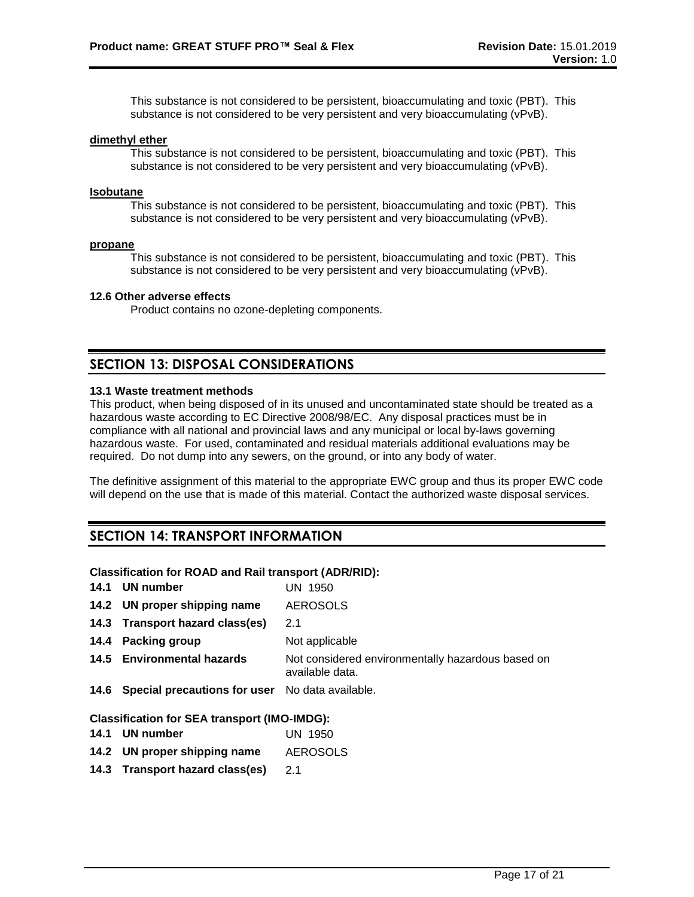This substance is not considered to be persistent, bioaccumulating and toxic (PBT). This substance is not considered to be very persistent and very bioaccumulating (vPvB).

#### **dimethyl ether**

This substance is not considered to be persistent, bioaccumulating and toxic (PBT). This substance is not considered to be very persistent and very bioaccumulating (vPvB).

#### **Isobutane**

This substance is not considered to be persistent, bioaccumulating and toxic (PBT). This substance is not considered to be very persistent and very bioaccumulating (vPvB).

#### **propane**

This substance is not considered to be persistent, bioaccumulating and toxic (PBT). This substance is not considered to be very persistent and very bioaccumulating (vPvB).

#### **12.6 Other adverse effects**

Product contains no ozone-depleting components.

# **SECTION 13: DISPOSAL CONSIDERATIONS**

# **13.1 Waste treatment methods**

This product, when being disposed of in its unused and uncontaminated state should be treated as a hazardous waste according to EC Directive 2008/98/EC. Any disposal practices must be in compliance with all national and provincial laws and any municipal or local by-laws governing hazardous waste. For used, contaminated and residual materials additional evaluations may be required. Do not dump into any sewers, on the ground, or into any body of water.

The definitive assignment of this material to the appropriate EWC group and thus its proper EWC code will depend on the use that is made of this material. Contact the authorized waste disposal services.

# **SECTION 14: TRANSPORT INFORMATION**

#### **Classification for ROAD and Rail transport (ADR/RID):**

| 14.1 UN number                                       | UN 1950                                                              |
|------------------------------------------------------|----------------------------------------------------------------------|
| 14.2 UN proper shipping name                         | <b>AEROSOLS</b>                                                      |
| 14.3 Transport hazard class(es)                      | 2.1                                                                  |
| 14.4 Packing group                                   | Not applicable                                                       |
| 14.5 Environmental hazards                           | Not considered environmentally hazardous based on<br>available data. |
| 14.6 Special precautions for user No data available. |                                                                      |
| <b>Classification for SEA transport (IMO-IMDG):</b>  |                                                                      |
| 14.1 UN number                                       | UN 1950                                                              |

- **14.2 UN proper shipping name** AEROSOLS
- **14.3 Transport hazard class(es)** 2.1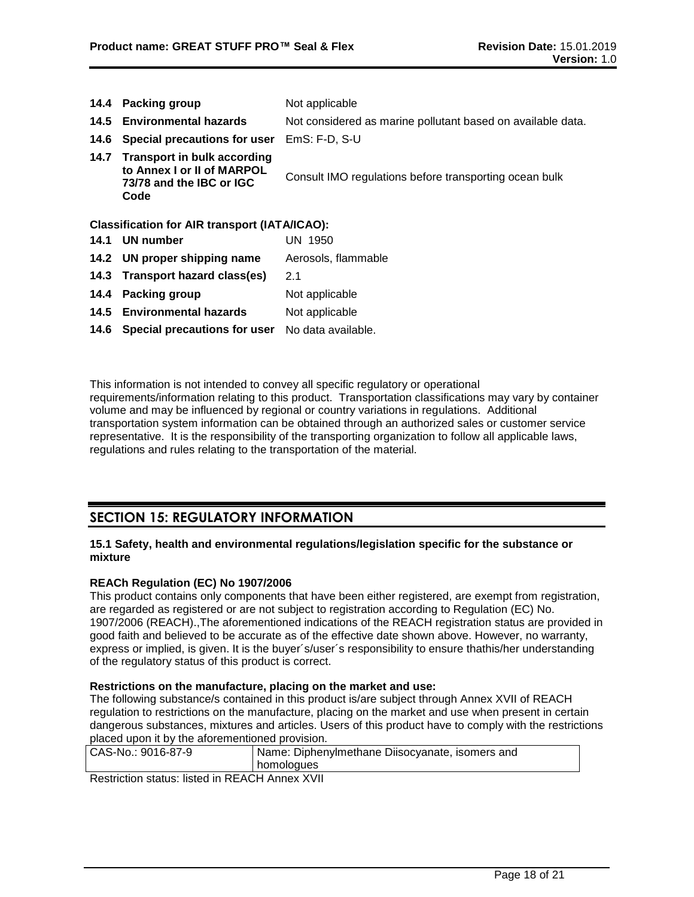| 14.4 | <b>Packing group</b>                                                                                 | Not applicable                                              |
|------|------------------------------------------------------------------------------------------------------|-------------------------------------------------------------|
|      | 14.5 Environmental hazards                                                                           | Not considered as marine pollutant based on available data. |
| 14.6 | Special precautions for user                                                                         | $EmS: F-D, S-U$                                             |
| 14.7 | <b>Transport in bulk according</b><br>to Annex I or II of MARPOL<br>73/78 and the IBC or IGC<br>Code | Consult IMO regulations before transporting ocean bulk      |
|      | <b>Classification for AIR transport (IATA/ICAO):</b>                                                 |                                                             |
| 14.1 | UN number                                                                                            | UN 1950                                                     |
|      | 14.2 UN proper shipping name                                                                         | Aerosols, flammable                                         |
|      | 14.3 Transport hazard class(es)                                                                      | 2.1                                                         |
| 14.4 | <b>Packing group</b>                                                                                 | Not applicable                                              |
|      | 14.5 Environmental hazards                                                                           | Not applicable                                              |
|      | 14.6 Special precautions for user                                                                    | No data available.                                          |

This information is not intended to convey all specific regulatory or operational requirements/information relating to this product. Transportation classifications may vary by container volume and may be influenced by regional or country variations in regulations. Additional transportation system information can be obtained through an authorized sales or customer service representative. It is the responsibility of the transporting organization to follow all applicable laws, regulations and rules relating to the transportation of the material.

# **SECTION 15: REGULATORY INFORMATION**

### **15.1 Safety, health and environmental regulations/legislation specific for the substance or mixture**

# **REACh Regulation (EC) No 1907/2006**

This product contains only components that have been either registered, are exempt from registration, are regarded as registered or are not subject to registration according to Regulation (EC) No. 1907/2006 (REACH).,The aforementioned indications of the REACH registration status are provided in good faith and believed to be accurate as of the effective date shown above. However, no warranty, express or implied, is given. It is the buyer´s/user´s responsibility to ensure thathis/her understanding of the regulatory status of this product is correct.

# **Restrictions on the manufacture, placing on the market and use:**

The following substance/s contained in this product is/are subject through Annex XVII of REACH regulation to restrictions on the manufacture, placing on the market and use when present in certain dangerous substances, mixtures and articles. Users of this product have to comply with the restrictions placed upon it by the aforementioned provision.

| CAS-No.: 9016-87-9 | Name: Diphenylmethane Diisocyanate, isomers and |  |
|--------------------|-------------------------------------------------|--|
|                    | homologues                                      |  |
|                    |                                                 |  |

Restriction status: listed in REACH Annex XVII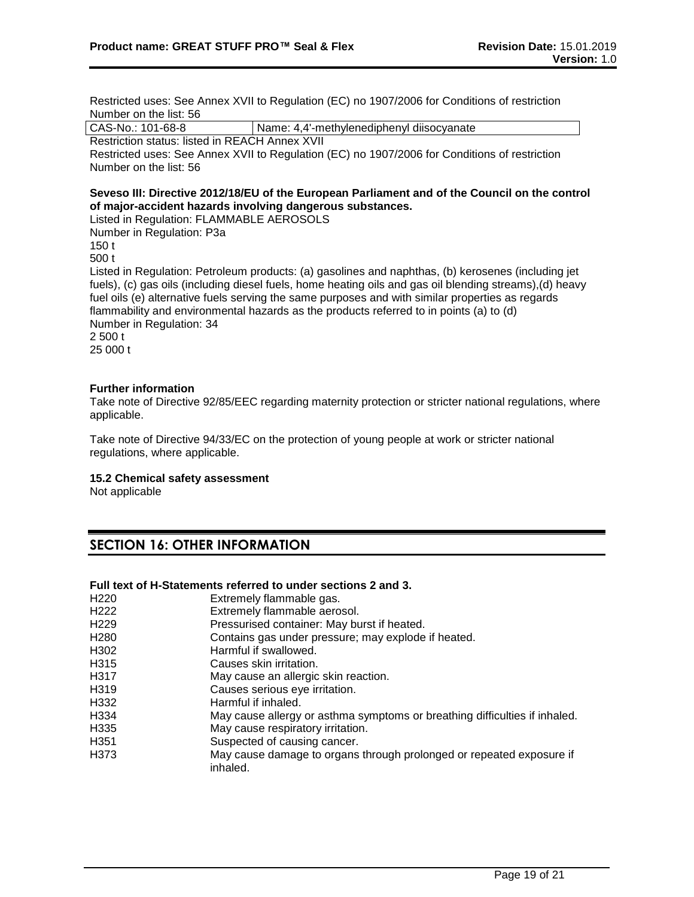Restricted uses: See Annex XVII to Regulation (EC) no 1907/2006 for Conditions of restriction Number on the list: 56

CAS-No.: 101-68-8 | Name: 4,4'-methylenediphenyl diisocyanate

Restriction status: listed in REACH Annex XVII

Restricted uses: See Annex XVII to Regulation (EC) no 1907/2006 for Conditions of restriction Number on the list: 56

# **Seveso III: Directive 2012/18/EU of the European Parliament and of the Council on the control of major-accident hazards involving dangerous substances.**

Listed in Regulation: FLAMMABLE AEROSOLS Number in Regulation: P3a 150 t 500 t Listed in Regulation: Petroleum products: (a) gasolines and naphthas, (b) kerosenes (including jet fuels), (c) gas oils (including diesel fuels, home heating oils and gas oil blending streams),(d) heavy fuel oils (e) alternative fuels serving the same purposes and with similar properties as regards flammability and environmental hazards as the products referred to in points (a) to (d) Number in Regulation: 34 2 500 t 25 000 t

# **Further information**

Take note of Directive 92/85/EEC regarding maternity protection or stricter national regulations, where applicable.

Take note of Directive 94/33/EC on the protection of young people at work or stricter national regulations, where applicable.

# **15.2 Chemical safety assessment**

Not applicable

# **SECTION 16: OTHER INFORMATION**

# **Full text of H-Statements referred to under sections 2 and 3.**

| H <sub>220</sub> | Extremely flammable gas.                                                         |
|------------------|----------------------------------------------------------------------------------|
| H <sub>222</sub> | Extremely flammable aerosol.                                                     |
| H <sub>229</sub> | Pressurised container: May burst if heated.                                      |
| H <sub>280</sub> | Contains gas under pressure; may explode if heated.                              |
| H302             | Harmful if swallowed.                                                            |
| H315             | Causes skin irritation.                                                          |
| H317             | May cause an allergic skin reaction.                                             |
| H319             | Causes serious eye irritation.                                                   |
| H332             | Harmful if inhaled.                                                              |
| H334             | May cause allergy or asthma symptoms or breathing difficulties if inhaled.       |
| H335             | May cause respiratory irritation.                                                |
| H <sub>351</sub> | Suspected of causing cancer.                                                     |
| H373             | May cause damage to organs through prolonged or repeated exposure if<br>inhaled. |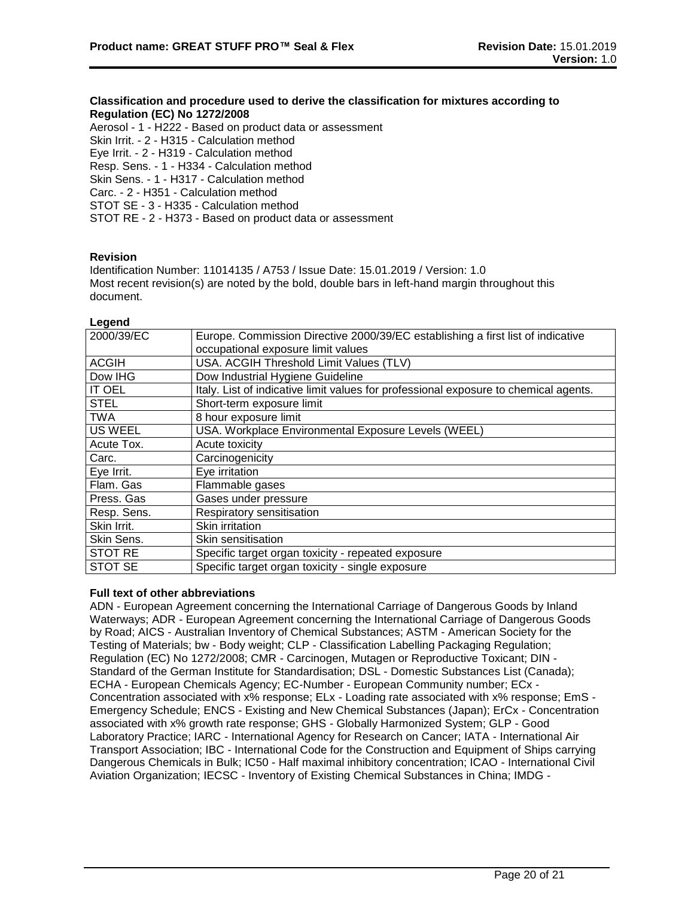# **Classification and procedure used to derive the classification for mixtures according to Regulation (EC) No 1272/2008**

Aerosol - 1 - H222 - Based on product data or assessment Skin Irrit. - 2 - H315 - Calculation method Eye Irrit. - 2 - H319 - Calculation method Resp. Sens. - 1 - H334 - Calculation method Skin Sens. - 1 - H317 - Calculation method Carc. - 2 - H351 - Calculation method STOT SE - 3 - H335 - Calculation method STOT RE - 2 - H373 - Based on product data or assessment

# **Revision**

Identification Number: 11014135 / A753 / Issue Date: 15.01.2019 / Version: 1.0 Most recent revision(s) are noted by the bold, double bars in left-hand margin throughout this document.

#### **Legend**

| 2000/39/EC     | Europe. Commission Directive 2000/39/EC establishing a first list of indicative      |
|----------------|--------------------------------------------------------------------------------------|
|                | occupational exposure limit values                                                   |
| <b>ACGIH</b>   | USA. ACGIH Threshold Limit Values (TLV)                                              |
| Dow IHG        | Dow Industrial Hygiene Guideline                                                     |
| <b>IT OEL</b>  | Italy. List of indicative limit values for professional exposure to chemical agents. |
| <b>STEL</b>    | Short-term exposure limit                                                            |
| <b>TWA</b>     | 8 hour exposure limit                                                                |
| <b>US WEEL</b> | USA. Workplace Environmental Exposure Levels (WEEL)                                  |
| Acute Tox.     | Acute toxicity                                                                       |
| Carc.          | Carcinogenicity                                                                      |
| Eye Irrit.     | Eye irritation                                                                       |
| Flam. Gas      | Flammable gases                                                                      |
| Press. Gas     | Gases under pressure                                                                 |
| Resp. Sens.    | Respiratory sensitisation                                                            |
| Skin Irrit.    | Skin irritation                                                                      |
| Skin Sens.     | Skin sensitisation                                                                   |
| <b>STOT RE</b> | Specific target organ toxicity - repeated exposure                                   |
| STOT SE        | Specific target organ toxicity - single exposure                                     |

#### **Full text of other abbreviations**

ADN - European Agreement concerning the International Carriage of Dangerous Goods by Inland Waterways; ADR - European Agreement concerning the International Carriage of Dangerous Goods by Road; AICS - Australian Inventory of Chemical Substances; ASTM - American Society for the Testing of Materials; bw - Body weight; CLP - Classification Labelling Packaging Regulation; Regulation (EC) No 1272/2008; CMR - Carcinogen, Mutagen or Reproductive Toxicant; DIN - Standard of the German Institute for Standardisation; DSL - Domestic Substances List (Canada); ECHA - European Chemicals Agency; EC-Number - European Community number; ECx - Concentration associated with x% response; ELx - Loading rate associated with x% response; EmS - Emergency Schedule; ENCS - Existing and New Chemical Substances (Japan); ErCx - Concentration associated with x% growth rate response; GHS - Globally Harmonized System; GLP - Good Laboratory Practice; IARC - International Agency for Research on Cancer; IATA - International Air Transport Association; IBC - International Code for the Construction and Equipment of Ships carrying Dangerous Chemicals in Bulk; IC50 - Half maximal inhibitory concentration; ICAO - International Civil Aviation Organization; IECSC - Inventory of Existing Chemical Substances in China; IMDG -